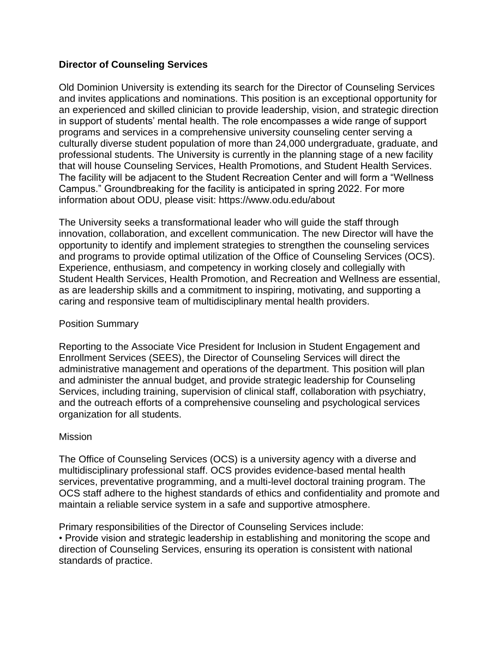## **Director of Counseling Services**

Old Dominion University is extending its search for the Director of Counseling Services and invites applications and nominations. This position is an exceptional opportunity for an experienced and skilled clinician to provide leadership, vision, and strategic direction in support of students' mental health. The role encompasses a wide range of support programs and services in a comprehensive university counseling center serving a culturally diverse student population of more than 24,000 undergraduate, graduate, and professional students. The University is currently in the planning stage of a new facility that will house Counseling Services, Health Promotions, and Student Health Services. The facility will be adjacent to the Student Recreation Center and will form a "Wellness Campus." Groundbreaking for the facility is anticipated in spring 2022. For more information about ODU, please visit: https://www.odu.edu/about

The University seeks a transformational leader who will guide the staff through innovation, collaboration, and excellent communication. The new Director will have the opportunity to identify and implement strategies to strengthen the counseling services and programs to provide optimal utilization of the Office of Counseling Services (OCS). Experience, enthusiasm, and competency in working closely and collegially with Student Health Services, Health Promotion, and Recreation and Wellness are essential, as are leadership skills and a commitment to inspiring, motivating, and supporting a caring and responsive team of multidisciplinary mental health providers.

## Position Summary

Reporting to the Associate Vice President for Inclusion in Student Engagement and Enrollment Services (SEES), the Director of Counseling Services will direct the administrative management and operations of the department. This position will plan and administer the annual budget, and provide strategic leadership for Counseling Services, including training, supervision of clinical staff, collaboration with psychiatry, and the outreach efforts of a comprehensive counseling and psychological services organization for all students.

## Mission

The Office of Counseling Services (OCS) is a university agency with a diverse and multidisciplinary professional staff. OCS provides evidence-based mental health services, preventative programming, and a multi-level doctoral training program. The OCS staff adhere to the highest standards of ethics and confidentiality and promote and maintain a reliable service system in a safe and supportive atmosphere.

Primary responsibilities of the Director of Counseling Services include: • Provide vision and strategic leadership in establishing and monitoring the scope and direction of Counseling Services, ensuring its operation is consistent with national standards of practice.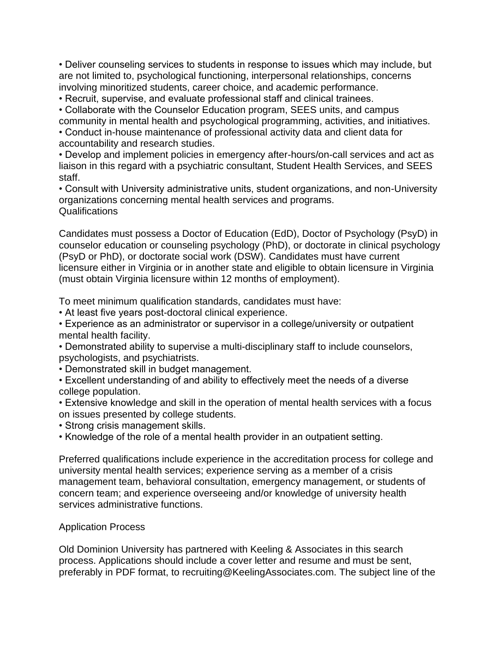• Deliver counseling services to students in response to issues which may include, but are not limited to, psychological functioning, interpersonal relationships, concerns involving minoritized students, career choice, and academic performance.

• Recruit, supervise, and evaluate professional staff and clinical trainees.

• Collaborate with the Counselor Education program, SEES units, and campus community in mental health and psychological programming, activities, and initiatives. • Conduct in-house maintenance of professional activity data and client data for accountability and research studies.

• Develop and implement policies in emergency after-hours/on-call services and act as liaison in this regard with a psychiatric consultant, Student Health Services, and SEES staff.

• Consult with University administrative units, student organizations, and non-University organizations concerning mental health services and programs. Qualifications

Candidates must possess a Doctor of Education (EdD), Doctor of Psychology (PsyD) in counselor education or counseling psychology (PhD), or doctorate in clinical psychology (PsyD or PhD), or doctorate social work (DSW). Candidates must have current licensure either in Virginia or in another state and eligible to obtain licensure in Virginia (must obtain Virginia licensure within 12 months of employment).

To meet minimum qualification standards, candidates must have:

• At least five years post-doctoral clinical experience.

• Experience as an administrator or supervisor in a college/university or outpatient mental health facility.

• Demonstrated ability to supervise a multi-disciplinary staff to include counselors, psychologists, and psychiatrists.

• Demonstrated skill in budget management.

• Excellent understanding of and ability to effectively meet the needs of a diverse college population.

• Extensive knowledge and skill in the operation of mental health services with a focus on issues presented by college students.

• Strong crisis management skills.

• Knowledge of the role of a mental health provider in an outpatient setting.

Preferred qualifications include experience in the accreditation process for college and university mental health services; experience serving as a member of a crisis management team, behavioral consultation, emergency management, or students of concern team; and experience overseeing and/or knowledge of university health services administrative functions.

## Application Process

Old Dominion University has partnered with Keeling & Associates in this search process. Applications should include a cover letter and resume and must be sent, preferably in PDF format, to recruiting@KeelingAssociates.com. The subject line of the